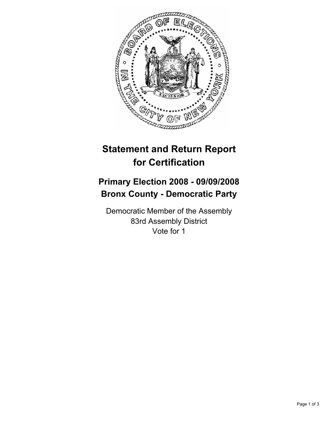

## **Statement and Return Report for Certification**

## **Primary Election 2008 - 09/09/2008 Bronx County - Democratic Party**

Democratic Member of the Assembly 83rd Assembly District Vote for 1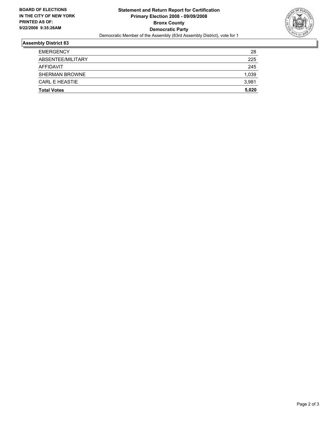

## **Assembly District 83**

| <b>Total Votes</b>    | 5,020 |
|-----------------------|-------|
| <b>CARL E HEASTIE</b> | 3,981 |
| <b>SHERMAN BROWNE</b> | 1,039 |
| AFFIDAVIT             | 245   |
| ABSENTEE/MILITARY     | 225   |
| <b>EMERGENCY</b>      | 28    |